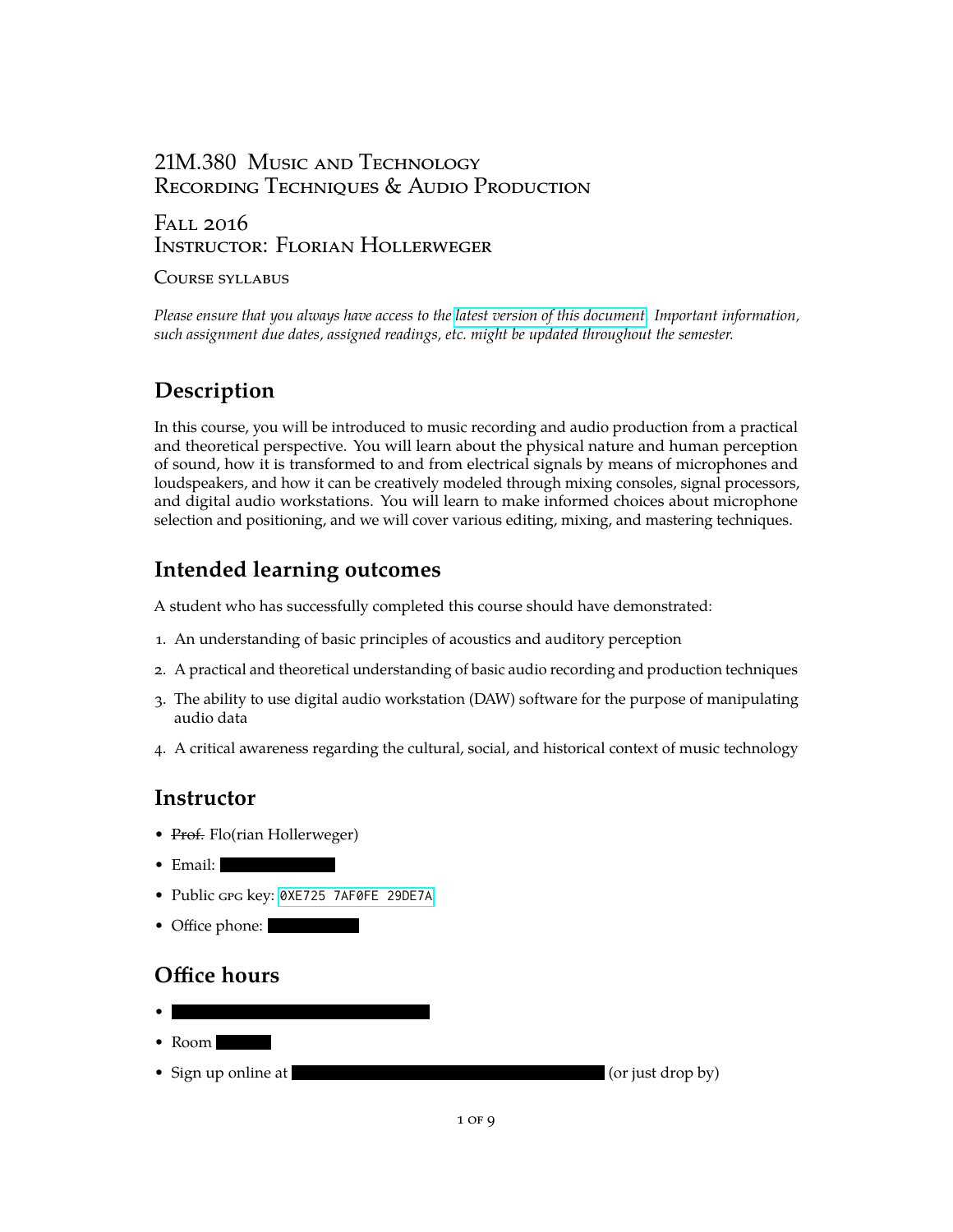# 21M.380 Music and Technology Recording Techniques & Audio Production

#### Fall 2016 Instructor: Florian Hollerweger

#### Course syllabus

*Please ensure that you always have access to the [latest version of this document.](https://web.mit.edu/course/21/21m.380/21m380_syllabus.pdf) Important information, such assignment due dates, assigned readings, etc. might be updated throughout the semester.*

# **Description**

In this course, you will be introduced to music recording and audio production from a practical and theoretical perspective. You will learn about the physical nature and human perception of sound, how it is transformed to and from electrical signals by means of microphones and loudspeakers, and how it can be creatively modeled through mixing consoles, signal processors, and digital audio workstations. You will learn to make informed choices about microphone selection and positioning, and we will cover various editing, mixing, and mastering techniques.

# **Intended learning outcomes**

A student who has successfully completed this course should have demonstrated:

- 1. An understanding of basic principles of acoustics and auditory perception
- 2. A practical and theoretical understanding of basic audio recording and production techniques
- 3. The ability to use digital audio workstation (DAW) software for the purpose of manipulating audio data
- 4. A critical awareness regarding the cultural, social, and historical context of music technology

# **Instructor**

- Prof. Flo(rian Hollerweger)
- Email:
- Public gpg key: [0XE725 7AF0FE 29DE7A](https://pgp.mit.edu/pks/lookup?op=get&search=0xE7257AF0FE29DE7A)
- Office phone:

# **Office hours**

• • Room • Sign up online at  $($ or just drop by)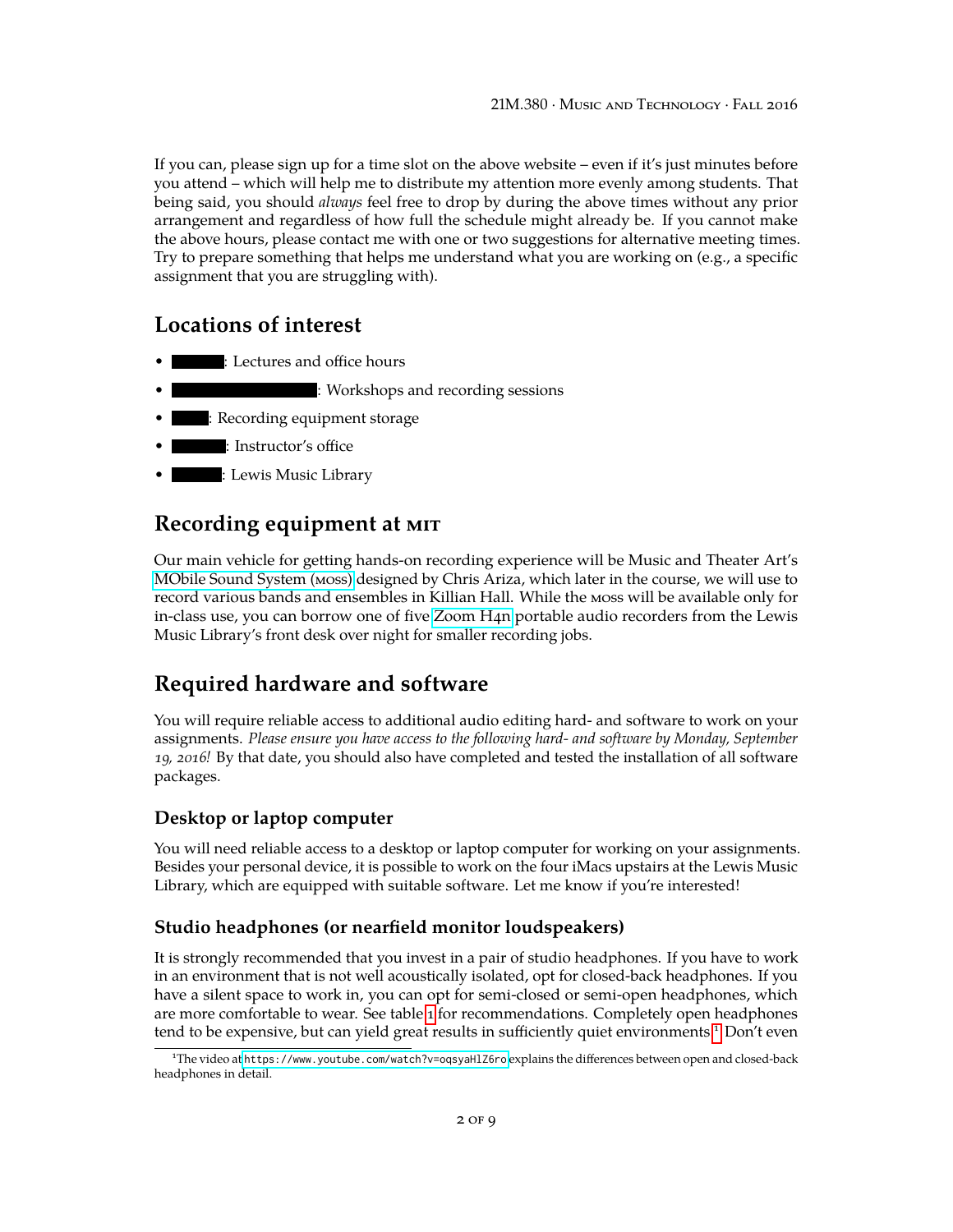If you can, please sign up for a time slot on the above website – even if it's just minutes before you attend – which will help me to distribute my attention more evenly among students. That being said, you should *always* feel free to drop by during the above times without any prior arrangement and regardless of how full the schedule might already be. If you cannot make the above hours, please contact me with one or two suggestions for alternative meeting times. Try to prepare something that helps me understand what you are working on (e.g., a specific assignment that you are struggling with).

#### **Locations of interest**

- : Lectures and office hours
- : Workshops and recording sessions
- : Recording equipment storage
- : Instructor's office
- : Lewis Music Library

## <span id="page-1-1"></span>**Recording equipment at mit**

Our main vehicle for getting hands-on recording experience will be Music and Theater Art's [MObile Sound System \(moss\)](http://ocw.mit.edu/courses/music-and-theater-arts/21m-380-music-and-technology-recording-techniques-and-audio-production-spring-2012/tools/) designed by Chris Ariza, which later in the course, we will use to record various bands and ensembles in Killian Hall. While the moss will be available only for in-class use, you can borrow one of five [Zoom H4n](https://www.zoom.co.jp/products/handy-recorder/h4nsp-handy-recorder) portable audio recorders from the Lewis Music Library's front desk over night for smaller recording jobs.

## **Required hardware and software**

You will require reliable access to additional audio editing hard- and software to work on your assignments. *Please ensure you have access to the following hard- and software by Monday, September 19, 2016!* By that date, you should also have completed and tested the installation of all software packages.

#### **Desktop or laptop computer**

You will need reliable access to a desktop or laptop computer for working on your assignments. Besides your personal device, it is possible to work on the four iMacs upstairs at the Lewis Music Library, which are equipped with suitable software. Let me know if you're interested!

#### **Studio headphones (or nearfield monitor loudspeakers)**

It is strongly recommended that you invest in a pair of studio headphones. If you have to work in an environment that is not well acoustically isolated, opt for closed-back headphones. If you have a silent space to work in, you can opt for semi-closed or semi-open headphones, which are more comfortable to wear. See table [1](#page-2-0) for recommendations. Completely open headphones tend to be expensive, but can yield great results in sufficiently quiet environments.[1](#page-1-0) Don't even

<span id="page-1-0"></span><sup>1</sup>The video at <https://www.youtube.com/watch?v=oqsyaHlZ6ro> explains the differences between open and closed-back headphones in detail.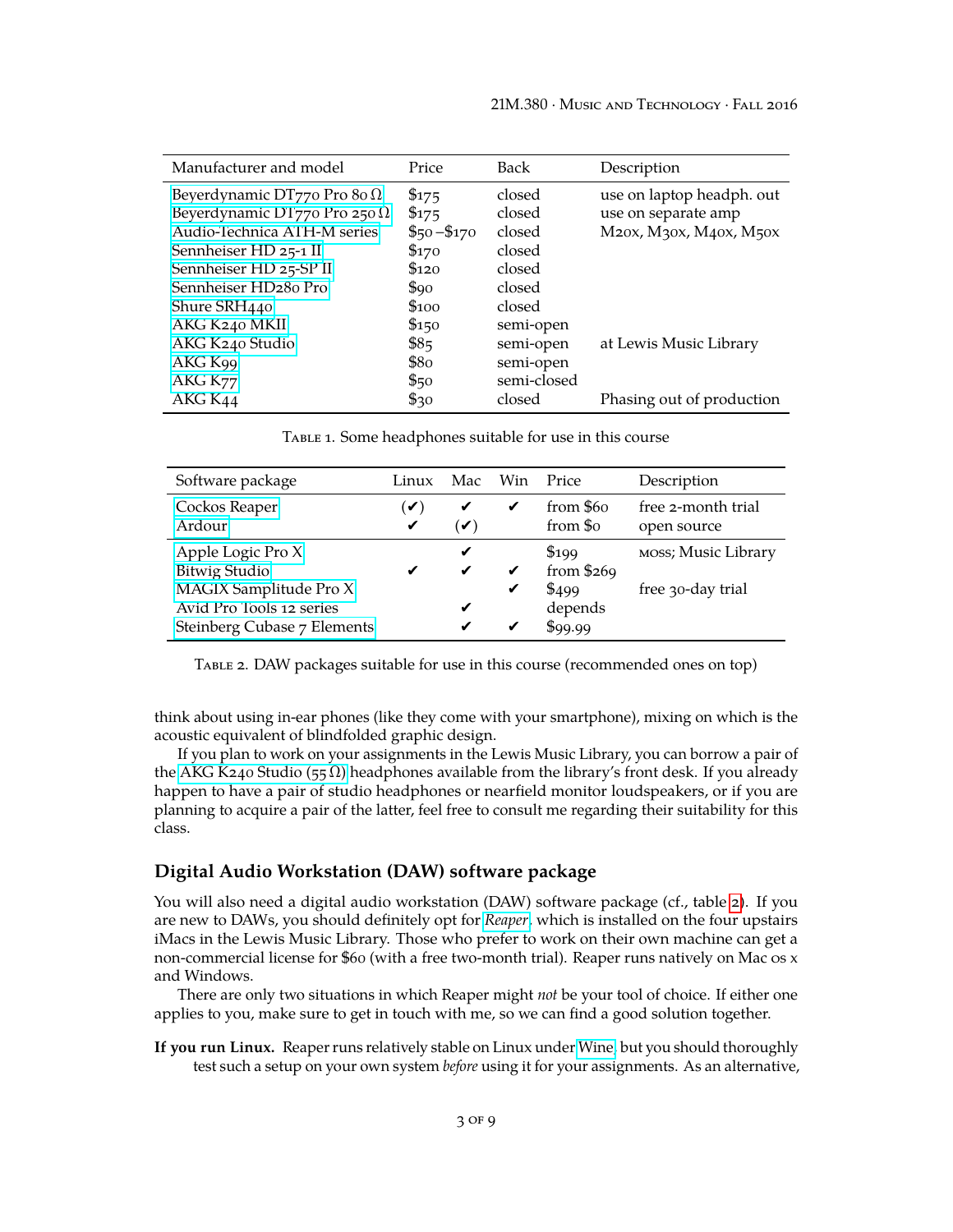<span id="page-2-0"></span>

| Manufacturer and model              | Price        | Back        | Description               |
|-------------------------------------|--------------|-------------|---------------------------|
| Beyerdynamic DT770 Pro 80 $\Omega$  | \$175        | closed      | use on laptop headph. out |
| Beyerdynamic DT770 Pro 250 $\Omega$ | \$175        | closed      | use on separate amp       |
| Audio-Technica ATH-M series         | $$50 - $170$ | closed      | M20x, M30x, M40x, M50x    |
| Sennheiser HD 25-1 II               | \$170        | closed      |                           |
| Sennheiser HD 25-SP II              | $\$120$      | closed      |                           |
| Sennheiser HD280 Pro                | \$90         | closed      |                           |
| Shure SRH440                        | \$100        | closed      |                           |
| AKG K240 MKII                       | \$150        | semi-open   |                           |
| AKG K240 Studio                     | \$85         | semi-open   | at Lewis Music Library    |
| AKG K99                             | \$80         | semi-open   |                           |
| AKG K <sub>77</sub>                 | \$50         | semi-closed |                           |
| AKG K44                             | \$30         | closed      | Phasing out of production |

Table 1. Some headphones suitable for use in this course

<span id="page-2-1"></span>

| Software package                                                                  | Win<br>Price<br>Mac<br>Linux |                     |   | Description                 |                                   |  |  |
|-----------------------------------------------------------------------------------|------------------------------|---------------------|---|-----------------------------|-----------------------------------|--|--|
| Cockos Reaper<br>Ardour                                                           | $\checkmark$<br>✔            | ✔<br>$(\checkmark)$ | ✔ | from \$60<br>from \$0       | free 2-month trial<br>open source |  |  |
| Apple Logic Pro X<br>Bitwig Studio                                                | ✔                            | ✔<br>$\checkmark$   | ✔ | \$199<br>from $$269$        | MOSS; Music Library               |  |  |
| MAGIX Samplitude Pro X<br>Avid Pro Tools 12 series<br>Steinberg Cubase 7 Elements |                              | ✔                   | ✔ | \$499<br>depends<br>\$99.99 | free 30-day trial                 |  |  |

Table 2. DAW packages suitable for use in this course (recommended ones on top)

think about using in-ear phones (like they come with your smartphone), mixing on which is the acoustic equivalent of blindfolded graphic design.

If you plan to work on your assignments in the Lewis Music Library, you can borrow a pair of the AKG K240 Studio (55  $\Omega$ ) headphones available from the library's front desk. If you already happen to have a pair of studio headphones or nearfield monitor loudspeakers, or if you are planning to acquire a pair of the latter, feel free to consult me regarding their suitability for this class.

#### **Digital Audio Workstation (DAW) software package**

You will also need a digital audio workstation (DAW) software package (cf., table [2\)](#page-2-1). If you are new to DAWs, you should definitely opt for *[Reaper](http://reaper.fm)*, which is installed on the four upstairs iMacs in the Lewis Music Library. Those who prefer to work on their own machine can get a non-commercial license for \$60 (with a free two-month trial). Reaper runs natively on Mac os x and Windows.

There are only two situations in which Reaper might *not* be your tool of choice. If either one applies to you, make sure to get in touch with me, so we can find a good solution together.

**If you run Linux.** Reaper runs relatively stable on Linux under [Wine,](https://www.winehq.org/) but you should thoroughly test such a setup on your own system *before* using it for your assignments. As an alternative,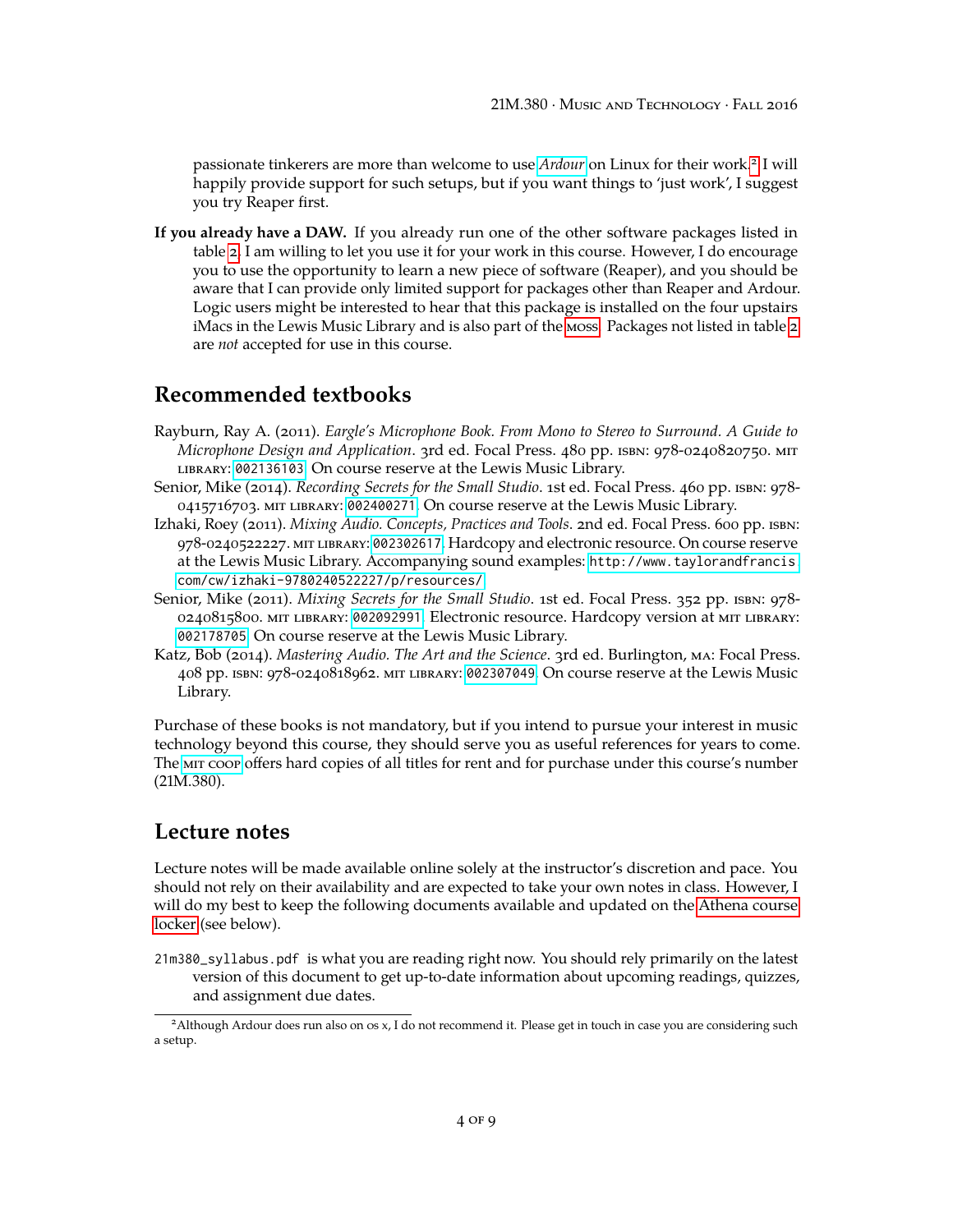passionate tinkerers are more than welcome to use *[Ardour](http://ardour.org/)* on Linux for their work.<sup>[2](#page-3-0)</sup> I will happily provide support for such setups, but if you want things to 'just work', I suggest you try Reaper first.

**If you already have a DAW.** If you already run one of the other software packages listed in table [2,](#page-2-1) I am willing to let you use it for your work in this course. However, I do encourage you to use the opportunity to learn a new piece of software (Reaper), and you should be aware that I can provide only limited support for packages other than Reaper and Ardour. Logic users might be interested to hear that this package is installed on the four upstairs iMacs in the Lewis Music Library and is also part of the [moss.](#page-1-1) Packages not listed in table [2](#page-2-1) are *not* accepted for use in this course.

#### **Recommended textbooks**

- Rayburn, Ray A. (2011). *Eargle's Microphone Book. From Mono to Stereo to Surround. A Guide to Microphone Design and Application*. 3rd ed. Focal Press. 480 pp. isbn: 978-0240820750. mit library: [002136103](https://library.mit.edu/item/002136103). On course reserve at the Lewis Music Library.
- Senior, Mike (2014). *Recording Secrets for the Small Studio*. 1st ed. Focal Press. 460 pp. isbn: 978- 0415716703. mit library: [002400271](https://library.mit.edu/item/002400271). On course reserve at the Lewis Music Library.
- Izhaki, Roey (2011). *Mixing Audio. Concepts, Practices and Tools*. 2nd ed. Focal Press. 600 pp. isbn: 978-0240522227. mit library: [002302617](https://library.mit.edu/item/002302617). Hardcopy and electronic resource. On course reserve at the Lewis Music Library. Accompanying sound examples: [http://www.taylorandfrancis.](http://www.taylorandfrancis.com/cw/izhaki-9780240522227/p/resources/) [com/cw/izhaki-9780240522227/p/resources/](http://www.taylorandfrancis.com/cw/izhaki-9780240522227/p/resources/).
- Senior, Mike (2011). *Mixing Secrets for the Small Studio*. 1st ed. Focal Press. 352 pp. isbn: 978- 0240815800. mit library: [002092991](https://library.mit.edu/item/002092991). Electronic resource. Hardcopy version at mit library: [002178705](https://library.mit.edu/item/002178705). On course reserve at the Lewis Music Library.
- Katz, Bob (2014). *Mastering Audio. The Art and the Science*. 3rd ed. Burlington, ma: Focal Press. 408 pp. isbn: 978-0240818962. mit library: [002307049](https://library.mit.edu/item/002307049). On course reserve at the Lewis Music Library.

Purchase of these books is not mandatory, but if you intend to pursue your interest in music technology beyond this course, they should serve you as useful references for years to come. The [mit coop](http://mitcoopbooks.bncollege.com/webapp/wcs/stores/servlet/TBWizardView?catalogId=10001&langId=-1&storeId=52081) offers hard copies of all titles for rent and for purchase under this course's number (21M.380).

#### **Lecture notes**

Lecture notes will be made available online solely at the instructor's discretion and pace. You should not rely on their availability and are expected to take your own notes in class. However, I will do my best to keep the following documents available and updated on the [Athena course](#page-4-0) [locker](#page-4-0) (see below).

21m380\_syllabus.pdf is what you are reading right now. You should rely primarily on the latest version of this document to get up-to-date information about upcoming readings, quizzes, and assignment due dates.

<span id="page-3-0"></span><sup>2</sup>Although Ardour does run also on os x, I do not recommend it. Please get in touch in case you are considering such a setup.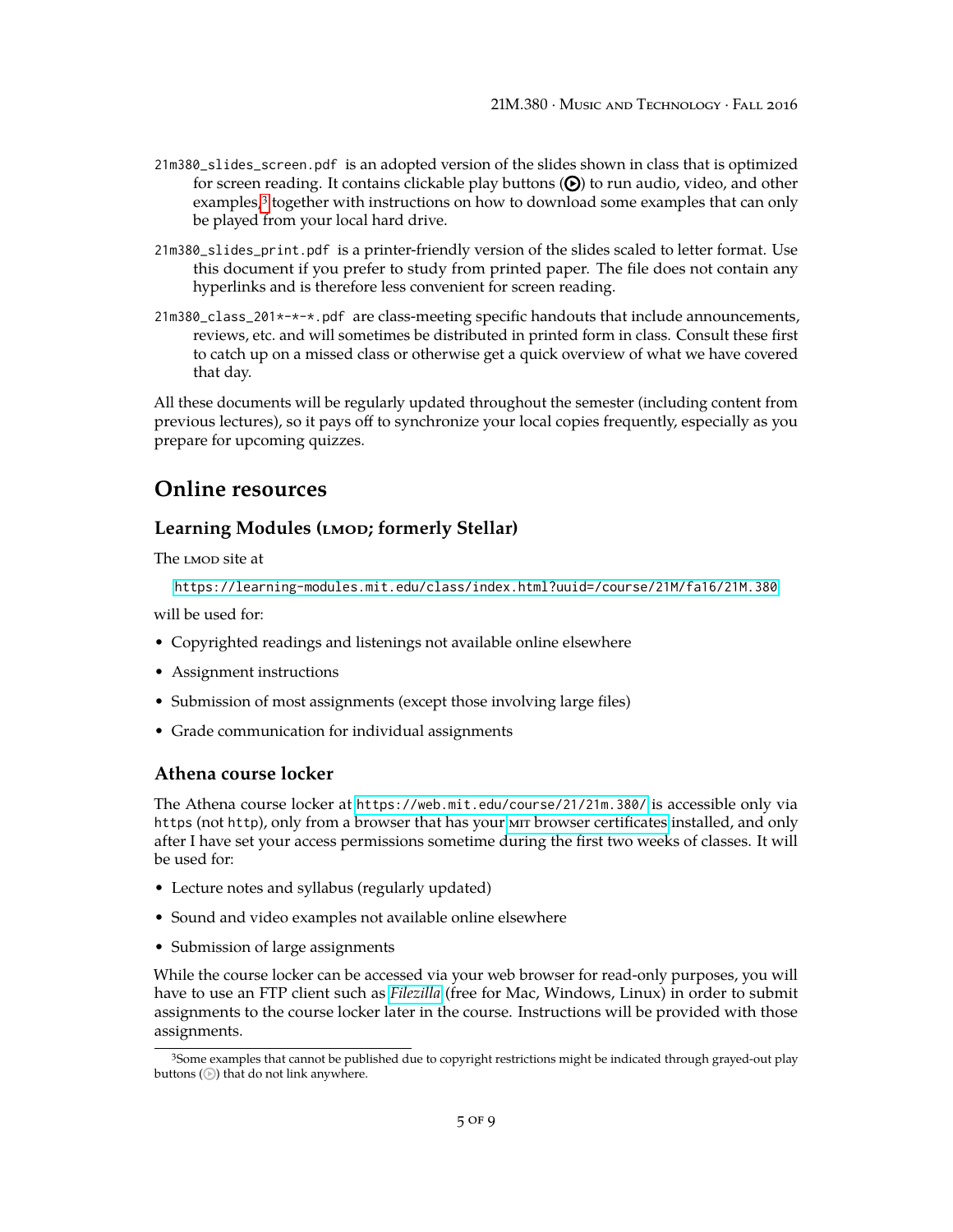- 21m380\_slides\_screen.pdf is an adopted version of the slides shown in class that is optimized for screen reading. It contains clickable play buttons  $(\Theta)$  to run audio, video, and other examples,<sup>[3](#page-4-1)</sup> together with instructions on how to download some examples that can only be played from your local hard drive.
- 21m380\_slides\_print.pdf is a printer-friendly version of the slides scaled to letter format. Use this document if you prefer to study from printed paper. The file does not contain any hyperlinks and is therefore less convenient for screen reading.
- 21m380\_class\_201\*-\*-\*.pdf are class-meeting specific handouts that include announcements, reviews, etc. and will sometimes be distributed in printed form in class. Consult these first to catch up on a missed class or otherwise get a quick overview of what we have covered that day.

All these documents will be regularly updated throughout the semester (including content from previous lectures), so it pays off to synchronize your local copies frequently, especially as you prepare for upcoming quizzes.

### **Online resources**

#### Learning Modules (LMOD; formerly Stellar)

The LMOD site at

<https://learning-modules.mit.edu/class/index.html?uuid=/course/21M/fa16/21M.380>

will be used for:

- Copyrighted readings and listenings not available online elsewhere
- Assignment instructions
- Submission of most assignments (except those involving large files)
- Grade communication for individual assignments

#### <span id="page-4-0"></span>**Athena course locker**

The Athena course locker at <https://web.mit.edu/course/21/21m.380/> is accessible only via https (not http), only from a browser that has your mir [browser certificates](https://ist.mit.edu/certificates) installed, and only after I have set your access permissions sometime during the first two weeks of classes. It will be used for:

- Lecture notes and syllabus (regularly updated)
- Sound and video examples not available online elsewhere
- Submission of large assignments

While the course locker can be accessed via your web browser for read-only purposes, you will have to use an FTP client such as *[Filezilla](https://filezilla-project.org/download.php?show_all=1)* (free for Mac, Windows, Linux) in order to submit assignments to the course locker later in the course. Instructions will be provided with those assignments.

<span id="page-4-1"></span><sup>3</sup>Some examples that cannot be published due to copyright restrictions might be indicated through grayed-out play buttons  $(\odot)$  that do not link anywhere.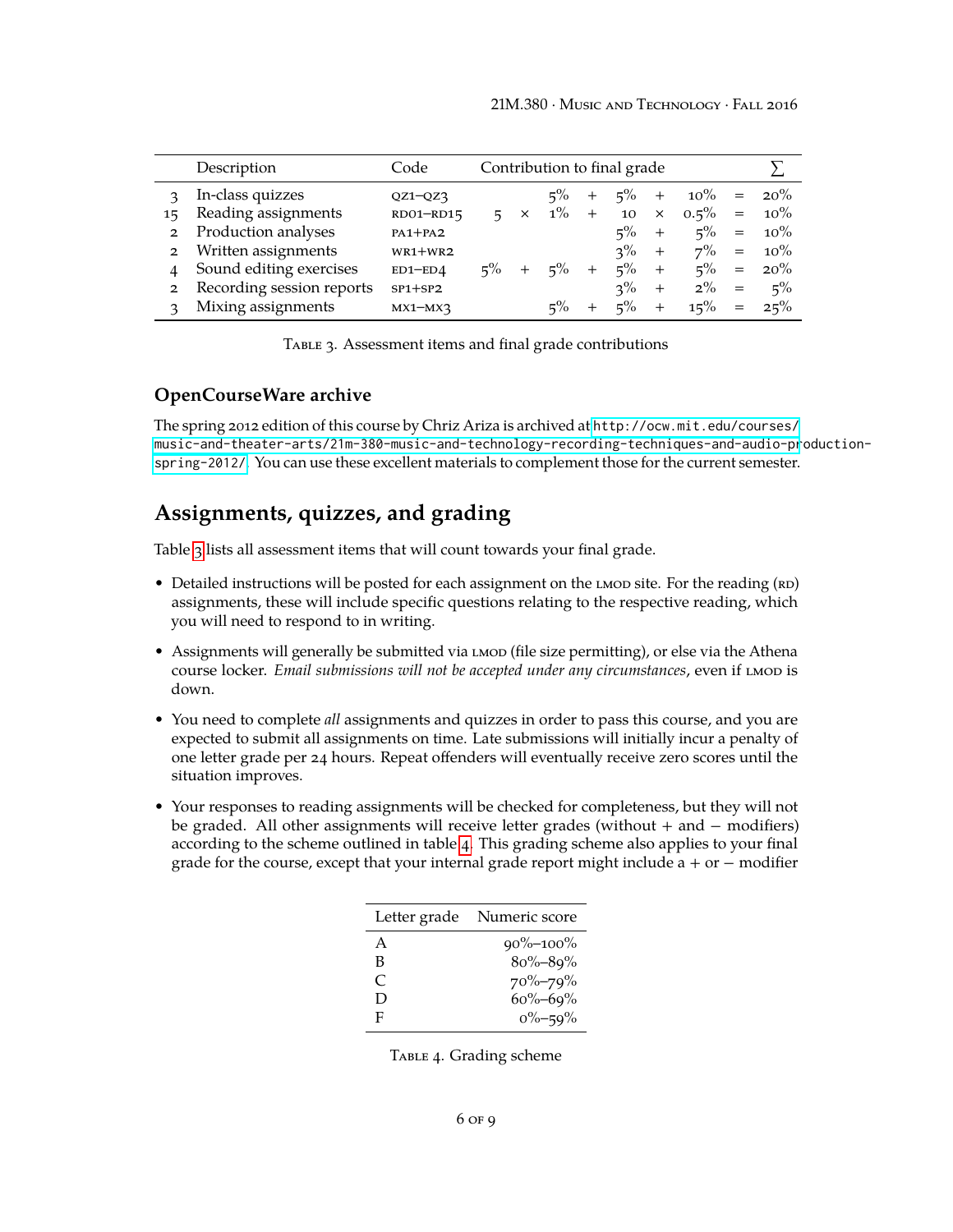<span id="page-5-0"></span>

|                | Description               | Code          | Contribution to final grade |              |       |        |       |          |         |     |        |
|----------------|---------------------------|---------------|-----------------------------|--------------|-------|--------|-------|----------|---------|-----|--------|
|                | In-class quizzes          | $QZ1-QZ3$     |                             |              | $5\%$ | $^{+}$ | $5\%$ | $^{+}$   | $10\%$  | $=$ | $20\%$ |
| 15             | Reading assignments       | RD01-RD15     | 5.                          | $\mathsf{X}$ | $1\%$ | $+$    | 10    | $\times$ | $0.5\%$ | $=$ | $10\%$ |
| $\mathbf{2}$   | Production analyses       | $PA1+PA2$     |                             |              |       |        | $5\%$ | $^{+}$   | $5\%$   | $=$ | $10\%$ |
| $\overline{2}$ | Written assignments       | $WR1+WR2$     |                             |              |       |        | $3\%$ | $^{+}$   | $7\%$   | $=$ | $10\%$ |
| 4              | Sound editing exercises   | $ED1$ - $ED4$ | $5\%$                       |              | $5\%$ | $+$    | $5\%$ | $^{+}$   | $5\%$   | $=$ | 20%    |
| $\mathbf{2}$   | Recording session reports | $SP1+SP2$     |                             |              |       |        | $3\%$ | $^{+}$   | $2\%$   | $=$ | $5\%$  |
|                | Mixing assignments        | $MX1-MX3$     |                             |              | $5\%$ | $+$    | $5\%$ | $^{+}$   | 15%     | $=$ | 25%    |

TABLE 3. Assessment items and final grade contributions

#### **OpenCourseWare archive**

The spring 2012 edition of this course by Chriz Ariza is archived at [http://ocw.mit.edu/courses/](http://ocw.mit.edu/courses/music-and-theater-arts/21m-380-music-and-technology-recording-techniques-and-audio-production-spring-2012/) [music-and-theater-arts/21m-380-music-and-technology-recording-techniques-and-audio-pr](http://ocw.mit.edu/courses/music-and-theater-arts/21m-380-music-and-technology-recording-techniques-and-audio-production-spring-2012/)oduction[spring-2012/](http://ocw.mit.edu/courses/music-and-theater-arts/21m-380-music-and-technology-recording-techniques-and-audio-production-spring-2012/). You can use these excellent materials to complement those for the current semester.

### **Assignments, quizzes, and grading**

Table [3](#page-5-0) lists all assessment items that will count towards your final grade.

- Detailed instructions will be posted for each assignment on the LMOD site. For the reading (RD) assignments, these will include specific questions relating to the respective reading, which you will need to respond to in writing.
- Assignments will generally be submitted via  $L_{M}$  mod (file size permitting), or else via the Athena course locker. *Email submissions will not be accepted under any circumstances*, even if LMOD is down.
- You need to complete *all* assignments and quizzes in order to pass this course, and you are expected to submit all assignments on time. Late submissions will initially incur a penalty of one letter grade per 24 hours. Repeat offenders will eventually receive zero scores until the situation improves.
- <span id="page-5-1"></span>• Your responses to reading assignments will be checked for completeness, but they will not be graded. All other assignments will receive letter grades (without + and − modifiers) according to the scheme outlined in table [4.](#page-5-1) This grading scheme also applies to your final grade for the course, except that your internal grade report might include a + or  $-$  modifier

| Letter grade | Numeric score  |
|--------------|----------------|
| A            | $90\% - 100\%$ |
| В            | $80\% - 89\%$  |
| C            | 70%-79%        |
| D            | $60\% - 69\%$  |
| F            | $0\% - 59\%$   |

Table 4. Grading scheme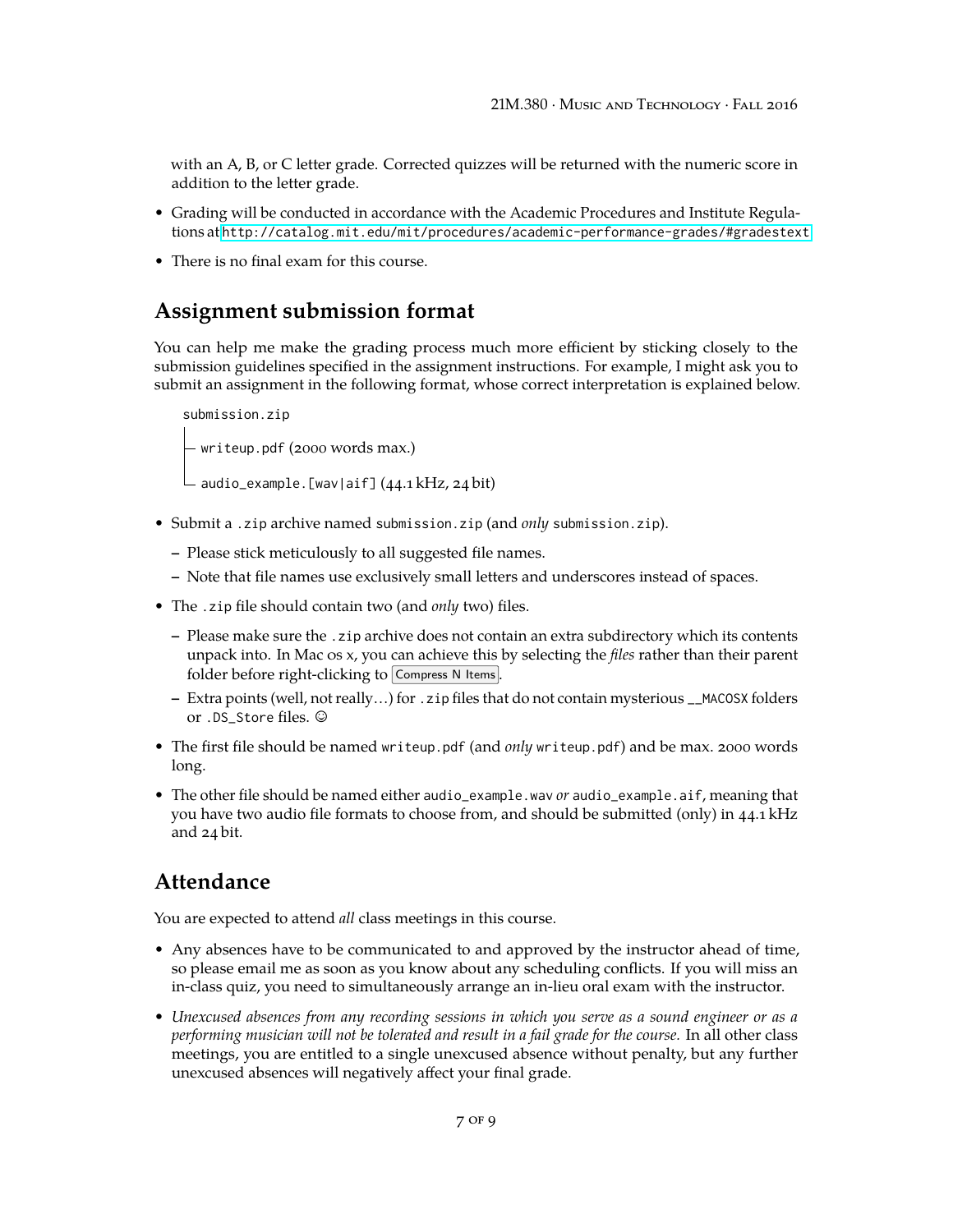with an A, B, or C letter grade. Corrected quizzes will be returned with the numeric score in addition to the letter grade.

- Grading will be conducted in accordance with the Academic Procedures and Institute Regulations at <http://catalog.mit.edu/mit/procedures/academic-performance-grades/#gradestext>
- There is no final exam for this course.

## **Assignment submission format**

You can help me make the grading process much more efficient by sticking closely to the submission guidelines specified in the assignment instructions. For example, I might ask you to submit an assignment in the following format, whose correct interpretation is explained below.

```
submission.zip
- writeup.pdf (2000 words max.)
audio_example.[wav|aif] (44.1 kHz, 24 bit)
```
- Submit a .zip archive named submission.zip (and *only* submission.zip).
	- **–** Please stick meticulously to all suggested file names.
	- **–** Note that file names use exclusively small letters and underscores instead of spaces.
- The .zip file should contain two (and *only* two) files.
	- **–** Please make sure the .zip archive does not contain an extra subdirectory which its contents unpack into. In Mac os x, you can achieve this by selecting the *files* rather than their parent folder before right-clicking to  $\boxed{\text{Compress N} }$  Items.
	- **–** Extra points (well, not really…) for .zip files that do not contain mysterious \_\_MACOSX folders or .DS\_Store files. ©
- The first file should be named writeup.pdf (and *only* writeup.pdf) and be max. 2000 words long.
- The other file should be named either audio\_example.wav *or* audio\_example.aif, meaning that you have two audio file formats to choose from, and should be submitted (only) in 44.1 kHz and 24 bit.

## **Attendance**

You are expected to attend *all* class meetings in this course.

- Any absences have to be communicated to and approved by the instructor ahead of time, so please email me as soon as you know about any scheduling conflicts. If you will miss an in-class quiz, you need to simultaneously arrange an in-lieu oral exam with the instructor.
- *Unexcused absences from any recording sessions in which you serve as a sound engineer or as a performing musician will not be tolerated and result in a fail grade for the course.* In all other class meetings, you are entitled to a single unexcused absence without penalty, but any further unexcused absences will negatively affect your final grade.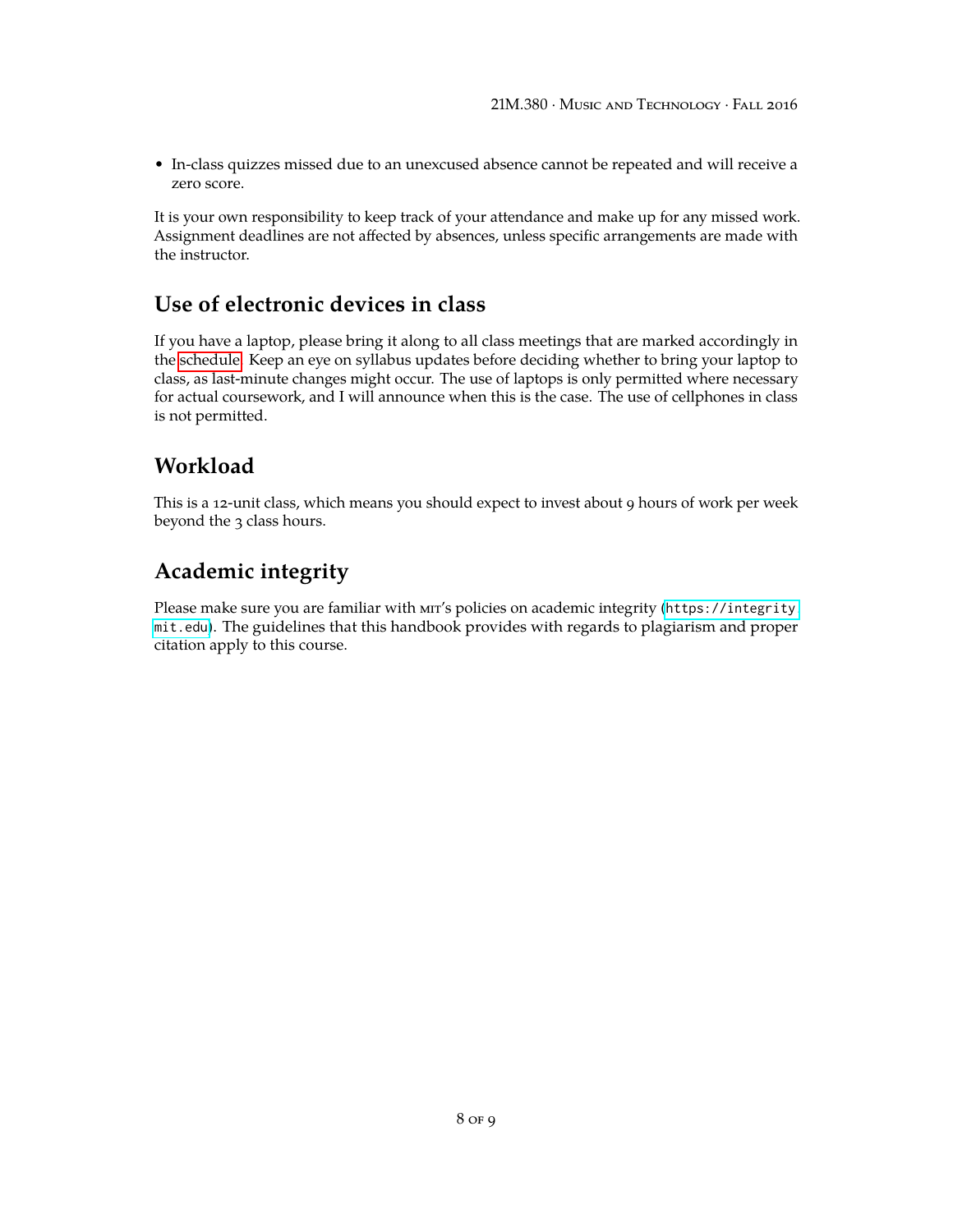• In-class quizzes missed due to an unexcused absence cannot be repeated and will receive a zero score.

It is your own responsibility to keep track of your attendance and make up for any missed work. Assignment deadlines are not affected by absences, unless specific arrangements are made with the instructor.

## **Use of electronic devices in class**

If you have a laptop, please bring it along to all class meetings that are marked accordingly in the [schedule.](#page-8-0) Keep an eye on syllabus updates before deciding whether to bring your laptop to class, as last-minute changes might occur. The use of laptops is only permitted where necessary for actual coursework, and I will announce when this is the case. The use of cellphones in class is not permitted.

## **Workload**

This is a 12-unit class, which means you should expect to invest about 9 hours of work per week beyond the 3 class hours.

# **Academic integrity**

Please make sure you are familiar with MIT's policies on academic integrity ([https://integrity.](https://integrity.mit.edu) [mit.edu](https://integrity.mit.edu)). The guidelines that this handbook provides with regards to plagiarism and proper citation apply to this course.